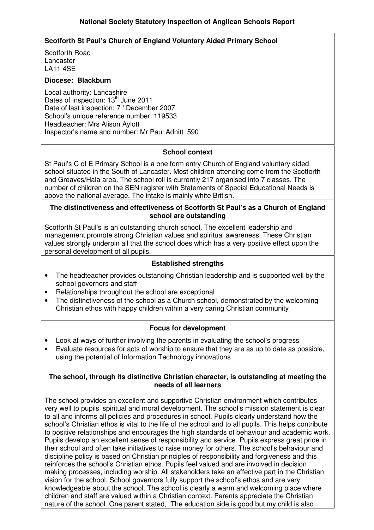## **Scotforth St Paul's Church of England Voluntary Aided Primary School**

Scotforth Road Lancaster LA11 4SE

#### **Diocese: Blackburn**

Local authority: Lancashire Dates of inspection: 13<sup>th</sup> June 2011 Date of last inspection: 7<sup>th</sup> December 2007 School's unique reference number: 119533 Headteacher: Mrs Alison Aylott Inspector's name and number: Mr Paul Adnitt 590

#### **School context**

St Paul's C of E Primary School is a one form entry Church of England voluntary aided school situated in the South of Lancaster. Most children attending come from the Scotforth and Greaves/Hala area. The school roll is currently 217 organised into 7 classes. The number of children on the SEN register with Statements of Special Educational Needs is above the national average. The intake is mainly white British.

#### **The distinctiveness and effectiveness of Scotforth St Paul's as a Church of England school are outstanding**

Scotforth St Paul's is an outstanding church school. The excellent leadership and management promote strong Christian values and spiritual awareness. These Christian values strongly underpin all that the school does which has a very positive effect upon the personal development of all pupils.

#### **Established strengths**

- The headteacher provides outstanding Christian leadership and is supported well by the school governors and staff
- Relationships throughout the school are exceptional
- The distinctiveness of the school as a Church school, demonstrated by the welcoming Christian ethos with happy children within a very caring Christian community

#### **Focus for development**

- Look at ways of further involving the parents in evaluating the school's progress
- Evaluate resources for acts of worship to ensure that they are as up to date as possible, using the potential of Information Technology innovations.

#### **The school, through its distinctive Christian character, is outstanding at meeting the needs of all learners**

The school provides an excellent and supportive Christian environment which contributes very well to pupils' spiritual and moral development. The school's mission statement is clear to all and informs all policies and procedures in school. Pupils clearly understand how the school's Christian ethos is vital to the life of the school and to all pupils. This helps contribute to positive relationships and encourages the high standards of behaviour and academic work. Pupils develop an excellent sense of responsibility and service. Pupils express great pride in their school and often take initiatives to raise money for others. The school's behaviour and discipline policy is based on Christian principles of responsibility and forgiveness and this reinforces the school's Christian ethos. Pupils feel valued and are involved in decision making processes, including worship. All stakeholders take an effective part in the Christian vision for the school. School governors fully support the school's ethos and are very knowledgeable about the school. The school is clearly a warm and welcoming place where children and staff are valued within a Christian context. Parents appreciate the Christian nature of the school. One parent stated, "The education side is good but my child is also